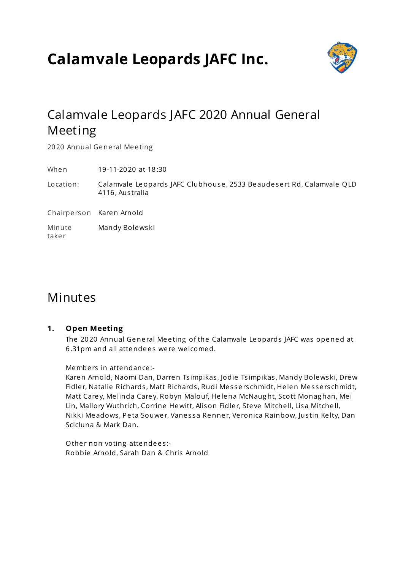# **Calamvale Leopards JAFC Inc.**



## Calamvale Leopards JAFC 2020 Annual General Meeting

2020 Annual General Meeting

When 19-11-2020 at 18:30

Location: Calamvale Leopards JAFC Clubhouse, 2533 Beaudesert Rd, Calamvale QLD 4116, Aus tralia

Chairpe rson Karen Arnold

Minute take r Mandy Bolewski

## Minutes

## **1. Open Meeting**

The 2020 Annual General Meeting of the Calamvale Leopards JAFC was opened at 6.31pm and all attendees were welcomed.

Members in attendance:-

Karen Arnold, Naomi Dan, Darren Ts impikas , Jodie Ts impikas , Mandy Bolewski, Drew Fidler, Natalie Richards, Matt Richards, Rudi Messerschmidt, Helen Messerschmidt, Matt Care y, Me linda Care y, Robyn Malouf, He lena McNaug ht, Scott Monag han, Me i Lin, Mallory Wuthrich, Corrine Hewitt, Alison Fidler, Steve Mitchell, Lisa Mitchell, Nikki Meadows, Peta Souwer, Vanessa Renner, Veronica Rainbow, Justin Kelty, Dan Scicluna & Mark Dan.

Other non voting attendees:-Robbie Arnold, Sarah Dan & Chris Arnold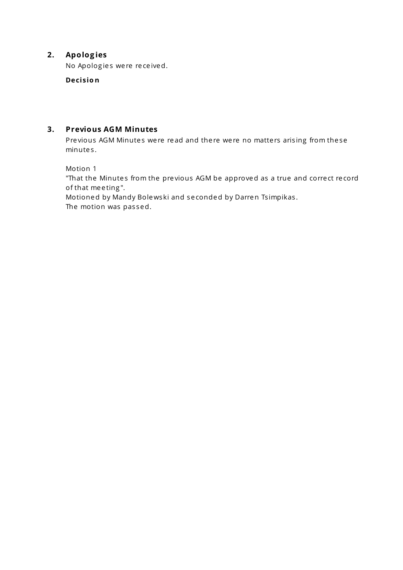## **2. Apolog ies**

No Apologies were received.

**Decisio n**

## **3. Previous AGM Minutes**

Previous AGM Minutes were read and there were no matters arising from these minute s .

Motion 1

"That the Minutes from the previous AGM be approved as a true and correct record of that meeting".

Motioned by Mandy Bolewski and se conded by Darren Ts impikas . The motion was passed.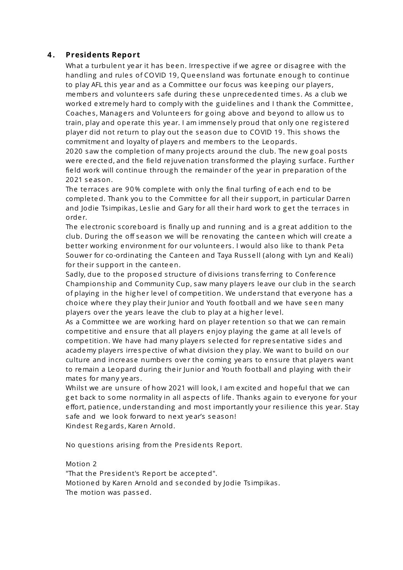## **4 . Presidents Report**

What a turbulent year it has been. Irrespective if we agree or disagree with the handling and rules of COVID 19, Queensland was fortunate enough to continue to play AFL this year and as a Committee our focus was keeping our players, members and volunteers safe during these unprecedented times. As a club we worked extremely hard to comply with the guidelines and I thank the Committee, Coaches, Managers and Volunteers for going above and beyond to allow us to train, play and operate this year. I am immensely proud that only one registered player did not return to play out the season due to COVID 19. This shows the commitment and loyalty of playe rs and membe rs to the Leopards .

2020 saw the completion of many projects around the club. The new goal posts were erected, and the field rejuvenation transformed the playing surface. Further field work will continue through the remainder of the year in preparation of the 2021 se ason.

The terraces are 90% complete with only the final turfing of each end to be comple ted. Thank you to the Committe e for all the ir support, in particular Darren and Jodie Tsimpikas, Leslie and Gary for all their hard work to get the terraces in orde r.

The electronic scoreboard is finally up and running and is a great addition to the club. During the off season we will be renovating the canteen which will create a better working environment for our volunteers. I would also like to thank Peta Souwer for co-ordinating the Canteen and Taya Russell (along with Lyn and Keali) for their support in the canteen.

Sadly, due to the proposed structure of divisions transferring to Conference Championship and Community Cup, saw many playe rs le ave our club in the se arch of playing in the higher level of competition. We understand that everyone has a choice where they play their Junior and Youth football and we have seen many players over the years leave the club to play at a higher level.

As a Committee we are working hard on player retention so that we can remain competitive and ensure that all players enjoy playing the game at all levels of competition. We have had many players selected for representative sides and academy players irrespective of what division they play. We want to build on our culture and increase numbers over the coming years to ensure that players want to remain a Leopard during their Junior and Youth football and playing with their mates for many years.

Whilst we are unsure of how 2021 will look, I am excited and hopeful that we can get back to some normality in all aspects of life. Thanks again to everyone for your effort, patience, understanding and most importantly your resilience this year. Stay safe and we look forward to ne xt ye ar's se ason! Kindest Regards, Karen Arnold.

No questions arising from the Presidents Report.

## Motion 2

"That the President's Report be accepted". Motioned by Karen Arnold and seconded by Jodie Tsimpikas. The motion was passed.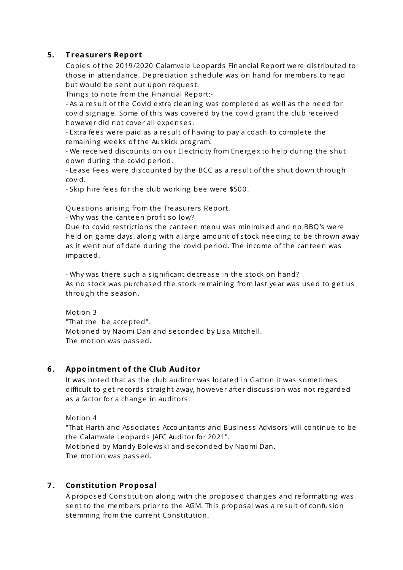## **5. T reasurers Report**

Copies of the 2019/2020 Calamvale Leopards Financial Report were distributed to those in attendance. Depreciation schedule was on hand for members to read but would be sent out upon request.

Things to note from the Financial Report:-

- As a re sult of the Covid e xtra cle aning was comple ted as we ll as the ne ed for covid signage. Some of this was covered by the covid grant the club received howe ver did not cover all expenses.

- Extra fees were paid as a result of having to pay a coach to complete the remaining weeks of the Auskick program.

- We received discounts on our Electricity from Energex to help during the shut down during the covid pe riod.

- Lease Fees were discounted by the BCC as a result of the shut down through covid.

- Skip hire fees for the club working bee were \$500.

Questions arising from the Treasurers Report.

- Why was the cante en profit so low?

Due to covid restrictions the canteen menu was minimised and no BBO's were held on game days, along with a large amount of stock needing to be thrown away as it went out of date during the covid pe riod. The income of the cante en was impacted.

- Why was there such a significant decrease in the stock on hand? As no stock was purchased the stock remaining from last year was used to get us through the season.

Motion 3 "That the be accepted". Motioned by Naomi Dan and se conded by Lisa Mitche ll. The motion was passed.

## **6 . Appointment of the Club Auditor**

It was noted that as the club auditor was located in Gatton it was some time s difficult to get records straight away, howe ver after discussion was not regarded as a factor for a change in auditors.

Motion 4

"That Harth and Associates Accountants and Business Advisors will continue to be the Calamvale Leopards JAFC Auditor for 2021". Motioned by Mandy Bolewski and se conded by Naomi Dan. The motion was passed.

## **7 . Constitution Proposal**

A proposed Constitution along with the proposed changes and reformatting was sent to the members prior to the AGM. This proposal was a result of confusion stemming from the current Constitution.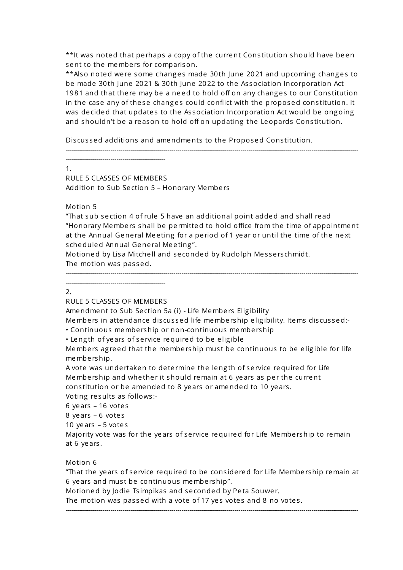\*\*It was noted that perhaps a copy of the current Constitution should have been sent to the members for comparison.

\*\*Also noted were some changes made 30th June 2021 and upcoming changes to be made 30th June 2021 & 30th June 2022 to the As sociation Incorporation Act 1981 and that there may be a need to hold off on any changes to our Constitution in the case any of these changes could conflict with the proposed constitution. It was decided that updates to the Association Incorporation Act would be ongoing and shouldn't be a reason to hold off on updating the Leopards Constitution.

Discussed additions and amendments to the Proposed Constitution.

-------------------------------------------------

1.

RULE 5 CLASSES OF MEMBERS Addition to Sub Section 5 - Honorary Members

------------------------------------------------------------------------------------------------------------------------------------------------

## Motion 5

"That sub se ction 4 of rule 5 have an additional point added and shall re ad "Honorary Members shall be permitted to hold office from the time of appointment at the Annual General Meeting for a period of 1 year or until the time of the next s cheduled Annual Gene ral Me e ting ".

Motioned by Lisa Mitchell and seconded by Rudolph Messerschmidt. The motion was passed.

------------------------------------------------------------------------------------------------------------------------------------------------

2.

## RULE 5 CLASSES OF MEMBERS

-------------------------------------------------

Amendment to Sub Section 5a (i) - Life Members Eligibility

Members in attendance discussed life membership eligibility. Items discussed:-• Continuous membe rship or non-continuous membe rship

• Leng th of ye ars of se rvice required to be e lig ible

Members agreed that the membership must be continuous to be eligible for life membe rship.

A vote was unde rtaken to de te rmine the leng th of se rvice required for Life Membership and whether it should remain at 6 years as per the current cons titution or be amended to 8 ye ars or amended to 10 ye ars .

Voting re sults as follows :-

6 ye ars – 16 vote s

8 ye ars – 6 vote s

10 ye ars – 5 vote s

Majority vote was for the ye ars of se rvice required for Life Membe rship to remain at 6 ye ars .

## Motion 6

"That the ye ars of se rvice required to be cons ide red for Life Membe rship remain at 6 years and must be continuous membership".

------------------------------------------------------------------------------------------------------------------------------------------------

Motioned by Jodie Tsimpikas and seconded by Peta Souwer.

The motion was passed with a vote of 17 yes votes and 8 no votes.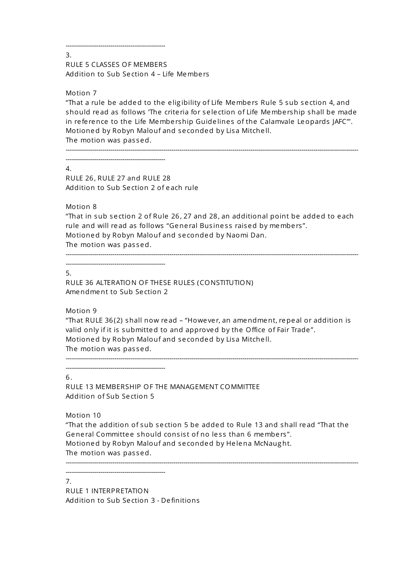3. RULE 5 CLASSES OF MEMBERS Addition to Sub Se ction 4 – Life Membe rs

Motion 7

"That a rule be added to the e lig ibility of Life Membe rs Rule 5 sub se ction 4, and should re ad as follows 'The crite ria for se le ction of Life Membe rship shall be made in reference to the Life Membership Guidelines of the Calamvale Leopards JAFC"'. Motioned by Robyn Malouf and se conded by Lisa Mitche ll. The motion was passed.

------------------------------------------------------------------------------------------------------------------------------------------------ -------------------------------------------------

-------------------------------------------------

#### 4.

RULE 26, RULE 27 and RULE 28 Addition to Sub Se ction 2 of e ach rule

Motion 8

"That in sub se ction 2 of Rule 26, 27 and 28, an additional point be added to e ach rule and will read as follows "General Business raised by members". Motioned by Robyn Malouf and se conded by Naomi Dan. The motion was passed.

------------------------------------------------------------------------------------------------------------------------------------------------

-------------------------------------------------

#### 5.

RULE 36 ALTERATION OF THESE RULES (CONSTITUTION) Amendment to Sub Se ction 2

## Motion 9

"That RULE 36(2) shall now re ad – "Howe ve r, an amendment, repe al or addition is valid only if it is submitted to and approved by the Office of Fair Trade ". Motioned by Robyn Malouf and se conded by Lisa Mitche ll. The motion was passed.

------------------------------------------------------------------------------------------------------------------------------------------------ -------------------------------------------------

6.

RULE 13 MEMBERSHIP OF THE MANAGEMENT COMMITTEE Addition of Sub Se ction 5

Motion 10

"That the addition of sub se ction 5 be added to Rule 13 and shall re ad "That the General Committee should consist of no less than 6 members". Motioned by Robyn Malouf and se conded by He lena McNaug ht. The motion was passed. ------------------------------------------------------------------------------------------------------------------------------------------------

-------------------------------------------------

7.

RULE 1 INTERPRETATION Addition to Sub Se ction 3 - De finitions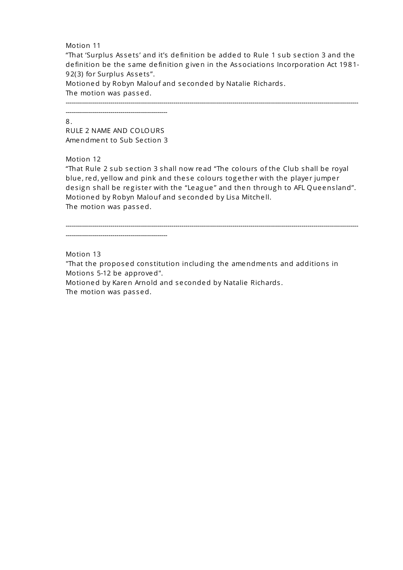#### Motion 11

"That 'Surplus As se ts ' and it's de finition be added to Rule 1 sub se ction 3 and the de finition be the same de finition g iven in the As sociations Incorporation Act 1981- 92(3) for Surplus Assets".

Motioned by Robyn Malouf and se conded by Natalie Richards .

The motion was passed.

------------------------------------------------------------------------------------------------------------------------------------------------

#### 8.

RULE 2 NAME AND COLOURS Amendment to Sub Se ction 3

--------------------------------------------------

## Motion 12

"That Rule 2 sub se ction 3 shall now re ad "The colours of the Club shall be royal blue, red, yellow and pink and these colours together with the player jumper design shall be register with the "League" and then through to AFL Queensland". Motioned by Robyn Malouf and se conded by Lisa Mitche ll. The motion was passed.

------------------------------------------------------------------------------------------------------------------------------------------------

#### Motion 13

"That the proposed constitution including the amendments and additions in Motions 5-12 be approved".

Motioned by Karen Arnold and se conded by Natalie Richards . The motion was passed.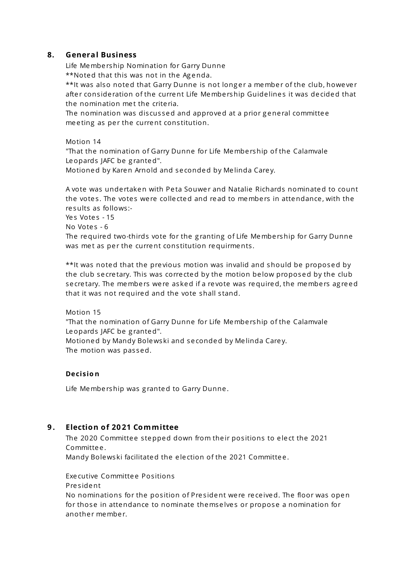## **8. General Business**

Life Membe rship Nomination for Garry Dunne \*\*Noted that this was not in the Agenda.

\*\*It was also noted that Garry Dunne is not longer a member of the club, however after consideration of the current Life Membership Guidelines it was decided that the nomination met the criteria.

The nomination was discussed and approved at a prior general committee me e ting as per the current constitution.

Motion 14

"That the nomination of Garry Dunne for Life Membe rship of the Calamvale Leopards JAFC be g ranted".

Motioned by Karen Arnold and se conded by Me linda Care y.

A vote was unde rtaken with Pe ta Souwe r and Natalie Richards nominated to count the votes. The votes were collected and read to members in attendance, with the re sults as follows :-

Yes Votes - 15

No Votes - 6

The required two-thirds vote for the granting of Life Membership for Garry Dunne was met as per the current constitution requirments.

\*\*It was noted that the pre vious motion was invalid and should be proposed by the club secretary. This was corrected by the motion below proposed by the club secretary. The members were asked if a revote was required, the members agreed that it was not required and the vote shall stand.

Motion 15

"That the nomination of Garry Dunne for Life Membe rship of the Calamvale Leopards JAFC be granted".

Motioned by Mandy Bolewski and se conded by Me linda Care y. The motion was passed.

## **Decisio n**

Life Membership was granted to Garry Dunne.

## **9 . Election of 20 21 Committee**

The 2020 Committee stepped down from their positions to elect the 2021 Committe e .

Mandy Bolewski facilitated the e le ction of the 2021 Committe e .

Executive Committee Positions

Pre s ident

No nominations for the position of President were received. The floor was open for those in attendance to nominate themse lve s or propose a nomination for another member.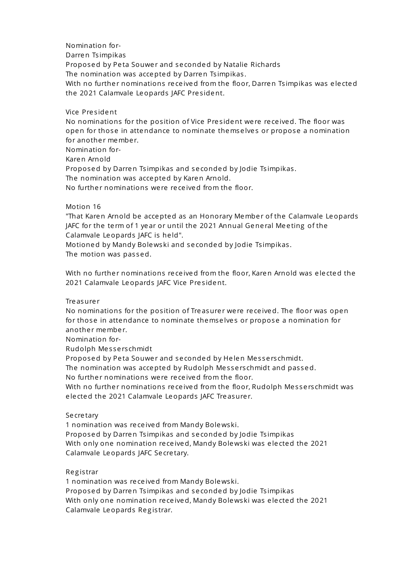Nomination for-Darren Ts impikas Proposed by Peta Souwer and seconded by Natalie Richards The nomination was accepted by Darren Tsimpikas. With no further nominations received from the floor, Darren Tsimpikas was elected the 2021 Calamvale Leopards JAFC President.

Vice Pre s ident

No nominations for the position of Vice President were received. The floor was open for those in attendance to nominate themse lve s or propose a nomination for another member.

Nomination for-

Karen Arnold

Proposed by Darren Tsimpikas and seconded by Jodie Tsimpikas.

The nomination was accepted by Karen Arnold.

No further nominations were received from the floor.

## Motion 16

"That Karen Arnold be accepted as an Honorary Member of the Calamvale Leopards JAFC for the term of 1 year or until the 2021 Annual General Meeting of the Calamvale Leopards JAFC is he ld".

Motioned by Mandy Bolewski and se conded by Jodie Ts impikas . The motion was passed.

With no further nominations received from the floor, Karen Arnold was elected the 2021 Calamvale Leopards JAFC Vice President.

**Tre as ure r** 

No nominations for the position of Treasurer were received. The floor was open for those in attendance to nominate themse lve s or propose a nomination for another member.

Nomination for-

Rudolph Me s se rs chmidt

Proposed by Peta Souwer and seconded by Helen Messerschmidt.

The nomination was accepted by Rudolph Messerschmidt and passed.

No further nominations were received from the floor.

With no further nominations received from the floor, Rudolph Messerschmidt was e le cted the 2021 Calamvale Leopards JAFC Tre asure r.

## **Se cre tary**

1 nomination was re ce ived from Mandy Bolewski. Proposed by Darren Tsimpikas and seconded by Jodie Tsimpikas With only one nomination re ce ived, Mandy Bolewski was e le cted the 2021 Calamvale Leopards JAFC Se cre tary.

#### Re g is trar

1 nomination was re ce ived from Mandy Bolewski. Proposed by Darren Tsimpikas and seconded by Jodie Tsimpikas With only one nomination re ce ived, Mandy Bolewski was e le cted the 2021 Calamvale Leopards Registrar.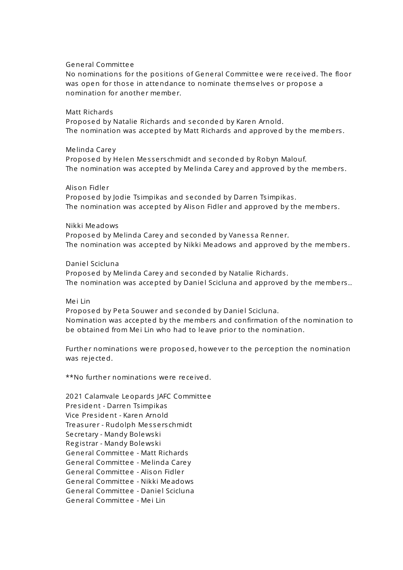#### Gene ral Committe e

No nominations for the positions of General Committee were received. The floor was open for those in attendance to nominate themselves or propose a nomination for another member.

#### Matt Richards

Proposed by Natalie Richards and se conded by Karen Arnold. The nomination was accepted by Matt Richards and approved by the members.

#### Me linda Care y

Proposed by Helen Messerschmidt and seconded by Robyn Malouf. The nomination was accepted by Melinda Carey and approved by the members.

#### Alison Fidle r

Proposed by Jodie Tsimpikas and seconded by Darren Tsimpikas. The nomination was accepted by Alison Fidler and approved by the members.

#### Nikki Me adows

Proposed by Melinda Carey and seconded by Vanessa Renner. The nomination was accepted by Nikki Meadows and approved by the members.

#### Daniel Scicluna

Proposed by Melinda Carey and seconded by Natalie Richards. The nomination was accepted by Daniel Scicluna and approved by the members..

#### Me i Lin

Proposed by Peta Souwer and seconded by Daniel Scicluna. Nomination was accepted by the membe rs and confirmation of the nomination to be obtained from Mei Lin who had to leave prior to the nomination.

Further nominations were proposed, however to the perception the nomination was re je cted.

\*\*No further nominations were received.

2021 Calamvale Leopards JAFC Committe e Pre s ident - Darren Ts impikas Vice President - Karen Arnold Tre asurer - Rudolph Messerschmidt Se cre tary - Mandy Bolewski Re g is trar - Mandy Bolewski Gene ral Committe e - Matt Richards General Committee - Melinda Carey Gene ral Committe e - Alison Fidle r Gene ral Committe e - Nikki Me adows Gene ral Committe e - Danie l Scicluna Gene ral Committe e - Me i Lin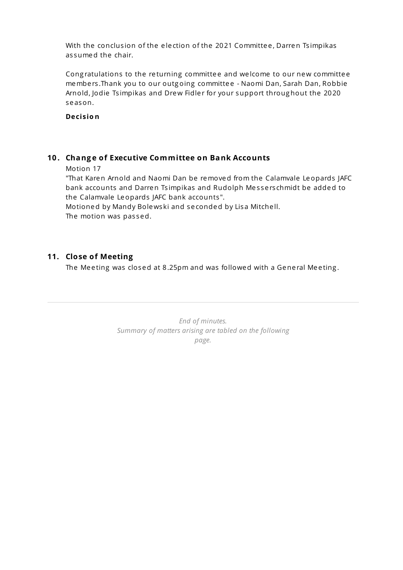With the conclusion of the election of the 2021 Committee, Darren Tsimpikas as sumed the chair.

Congratulations to the returning committee and welcome to our new committee membe rs .Thank you to our outg oing committe e - Naomi Dan, Sarah Dan, Robbie Arnold, Jodie Tsimpikas and Drew Fidler for your support throughout the 2020 se ason.

**Decisio n**

## **10 . Chang e of Executive Committee on Bank Accounts**

Motion 17

"That Karen Arnold and Naomi Dan be removed from the Calamvale Leopards JAFC bank accounts and Darren Tsimpikas and Rudolph Messerschmidt be added to the Calamvale Leopards JAFC bank accounts ".

Motioned by Mandy Bolewski and se conded by Lisa Mitche ll. The motion was passed.

## **11. Close of Meeting**

The Meeting was closed at 8.25pm and was followed with a General Meeting.

*End of minutes. Summary of matters arising are tabled on the following page.*